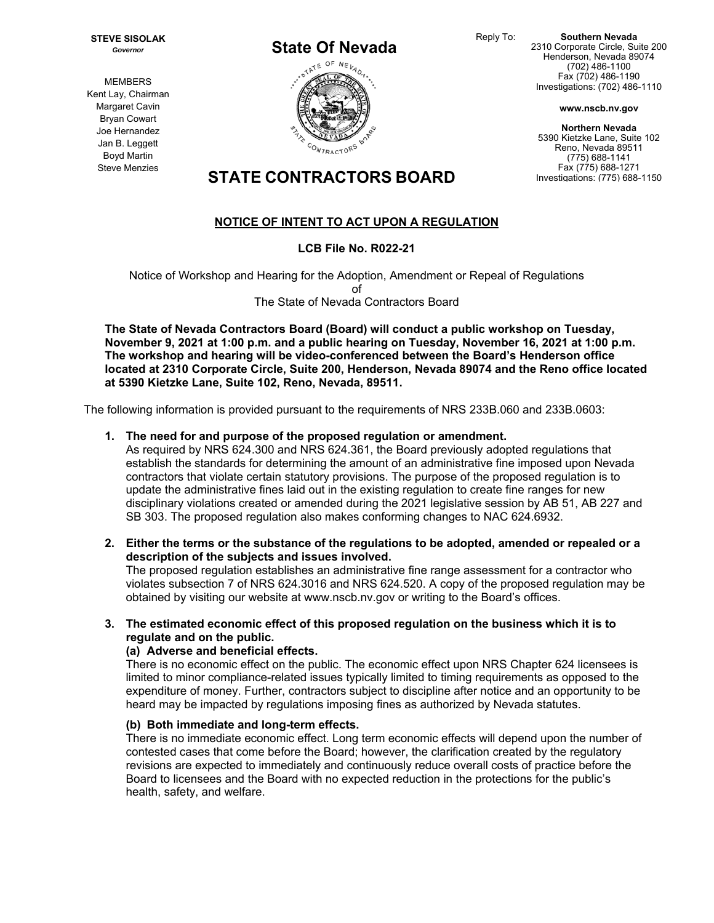Reply To: **Southern Nevada**  2310 Corporate Circle, Suite 200 Henderson, Nevada 89074 (702) 486-1100 Fax (702) 486-1190 Investigations: (702) 486-1110

**www.nscb.nv.gov**

**Northern Nevada**  5390 Kietzke Lane, Suite 102 Reno, Nevada 89511 (775) 688-1141 Fax (775) 688-1271 Investigations: (775) 688-1150

**MEMBERS** Kent Lay, Chairman Margaret Cavin Bryan Cowart Joe Hernandez Jan B. Leggett

**STATE CONTRACTORS BOARD** 

# **NOTICE OF INTENT TO ACT UPON A REGULATION**

## **LCB File No. R022-21**

Notice of Workshop and Hearing for the Adoption, Amendment or Repeal of Regulations of The State of Nevada Contractors Board

**The State of Nevada Contractors Board (Board) will conduct a public workshop on Tuesday, November 9, 2021 at 1:00 p.m. and a public hearing on Tuesday, November 16, 2021 at 1:00 p.m. The workshop and hearing will be video-conferenced between the Board's Henderson office located at 2310 Corporate Circle, Suite 200, Henderson, Nevada 89074 and the Reno office located at 5390 Kietzke Lane, Suite 102, Reno, Nevada, 89511.** 

The following information is provided pursuant to the requirements of NRS 233B.060 and 233B.0603:

#### **1. The need for and purpose of the proposed regulation or amendment.**

As required by NRS 624.300 and NRS 624.361, the Board previously adopted regulations that establish the standards for determining the amount of an administrative fine imposed upon Nevada contractors that violate certain statutory provisions. The purpose of the proposed regulation is to update the administrative fines laid out in the existing regulation to create fine ranges for new disciplinary violations created or amended during the 2021 legislative session by AB 51, AB 227 and SB 303. The proposed regulation also makes conforming changes to NAC 624.6932.

**2. Either the terms or the substance of the regulations to be adopted, amended or repealed or a description of the subjects and issues involved.** 

The proposed regulation establishes an administrative fine range assessment for a contractor who violates subsection 7 of NRS 624.3016 and NRS 624.520. A copy of the proposed regulation may be obtained by visiting our website at www.nscb.nv.gov or writing to the Board's offices.

#### **3. The estimated economic effect of this proposed regulation on the business which it is to regulate and on the public.**

## **(a) Adverse and beneficial effects.**

There is no economic effect on the public. The economic effect upon NRS Chapter 624 licensees is limited to minor compliance-related issues typically limited to timing requirements as opposed to the expenditure of money. Further, contractors subject to discipline after notice and an opportunity to be heard may be impacted by regulations imposing fines as authorized by Nevada statutes.

## **(b) Both immediate and long-term effects.**

There is no immediate economic effect. Long term economic effects will depend upon the number of contested cases that come before the Board; however, the clarification created by the regulatory revisions are expected to immediately and continuously reduce overall costs of practice before the Board to licensees and the Board with no expected reduction in the protections for the public's health, safety, and welfare.



**STEVE SISOLAK**  *Governor*

> Boyd Martin Steve Menzies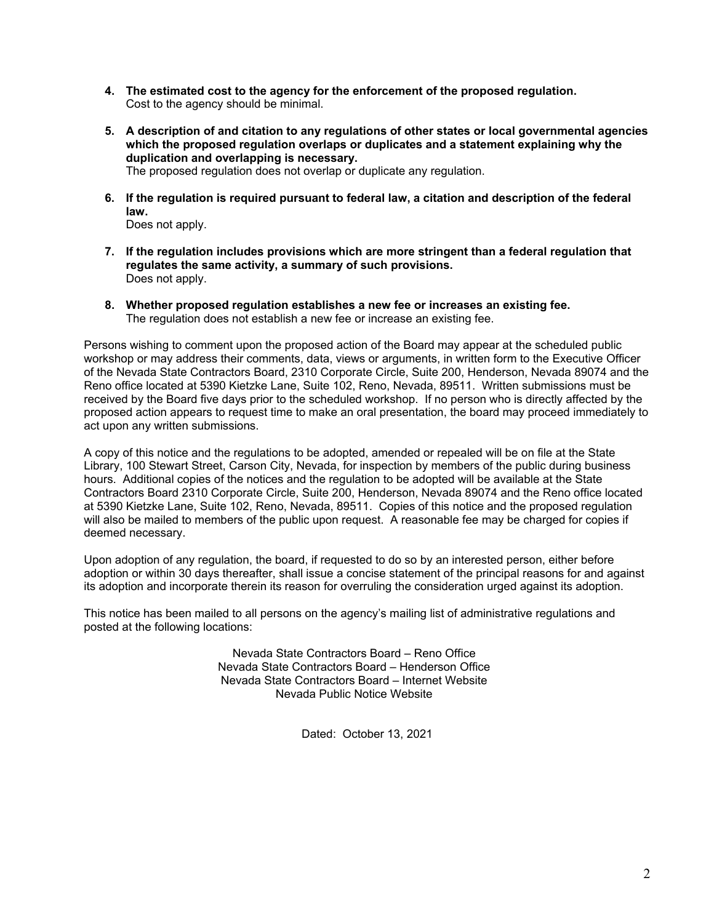- **4. The estimated cost to the agency for the enforcement of the proposed regulation.**  Cost to the agency should be minimal.
- **5. A description of and citation to any regulations of other states or local governmental agencies which the proposed regulation overlaps or duplicates and a statement explaining why the duplication and overlapping is necessary.**  The proposed regulation does not overlap or duplicate any regulation.

**6. If the regulation is required pursuant to federal law, a citation and description of the federal law.** 

Does not apply.

- **7. If the regulation includes provisions which are more stringent than a federal regulation that regulates the same activity, a summary of such provisions.**  Does not apply.
- **8. Whether proposed regulation establishes a new fee or increases an existing fee.**  The regulation does not establish a new fee or increase an existing fee.

Persons wishing to comment upon the proposed action of the Board may appear at the scheduled public workshop or may address their comments, data, views or arguments, in written form to the Executive Officer of the Nevada State Contractors Board, 2310 Corporate Circle, Suite 200, Henderson, Nevada 89074 and the Reno office located at 5390 Kietzke Lane, Suite 102, Reno, Nevada, 89511. Written submissions must be received by the Board five days prior to the scheduled workshop. If no person who is directly affected by the proposed action appears to request time to make an oral presentation, the board may proceed immediately to act upon any written submissions.

A copy of this notice and the regulations to be adopted, amended or repealed will be on file at the State Library, 100 Stewart Street, Carson City, Nevada, for inspection by members of the public during business hours. Additional copies of the notices and the regulation to be adopted will be available at the State Contractors Board 2310 Corporate Circle, Suite 200, Henderson, Nevada 89074 and the Reno office located at 5390 Kietzke Lane, Suite 102, Reno, Nevada, 89511. Copies of this notice and the proposed regulation will also be mailed to members of the public upon request. A reasonable fee may be charged for copies if deemed necessary.

Upon adoption of any regulation, the board, if requested to do so by an interested person, either before adoption or within 30 days thereafter, shall issue a concise statement of the principal reasons for and against its adoption and incorporate therein its reason for overruling the consideration urged against its adoption.

This notice has been mailed to all persons on the agency's mailing list of administrative regulations and posted at the following locations:

> Nevada State Contractors Board – Reno Office Nevada State Contractors Board – Henderson Office Nevada State Contractors Board – Internet Website Nevada Public Notice Website

> > Dated: October 13, 2021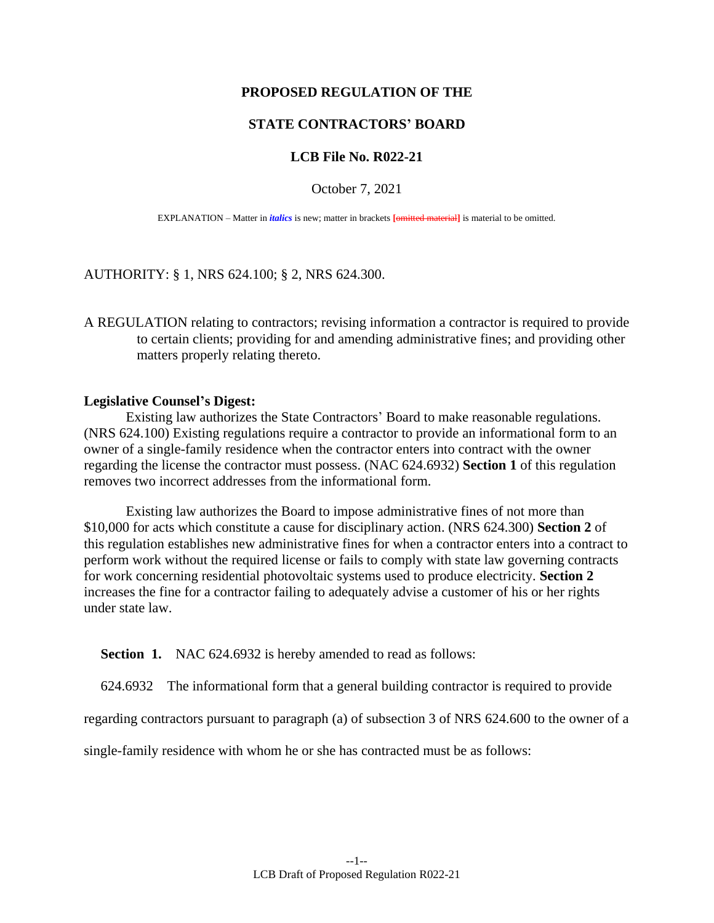## **PROPOSED REGULATION OF THE**

## **STATE CONTRACTORS' BOARD**

## **LCB File No. R022-21**

#### October 7, 2021

EXPLANATION – Matter in *italics* is new; matter in brackets **[**omitted material**]** is material to be omitted.

AUTHORITY: § 1, NRS 624.100; § 2, NRS 624.300.

A REGULATION relating to contractors; revising information a contractor is required to provide to certain clients; providing for and amending administrative fines; and providing other matters properly relating thereto.

#### **Legislative Counsel's Digest:**

Existing law authorizes the State Contractors' Board to make reasonable regulations. (NRS 624.100) Existing regulations require a contractor to provide an informational form to an owner of a single-family residence when the contractor enters into contract with the owner regarding the license the contractor must possess. (NAC 624.6932) **Section 1** of this regulation removes two incorrect addresses from the informational form.

Existing law authorizes the Board to impose administrative fines of not more than \$10,000 for acts which constitute a cause for disciplinary action. (NRS 624.300) **Section 2** of this regulation establishes new administrative fines for when a contractor enters into a contract to perform work without the required license or fails to comply with state law governing contracts for work concerning residential photovoltaic systems used to produce electricity. **Section 2** increases the fine for a contractor failing to adequately advise a customer of his or her rights under state law.

**Section 1.** NAC 624.6932 is hereby amended to read as follows:

624.6932 The informational form that a general building contractor is required to provide

regarding contractors pursuant to paragraph (a) of subsection 3 of NRS 624.600 to the owner of a

single-family residence with whom he or she has contracted must be as follows: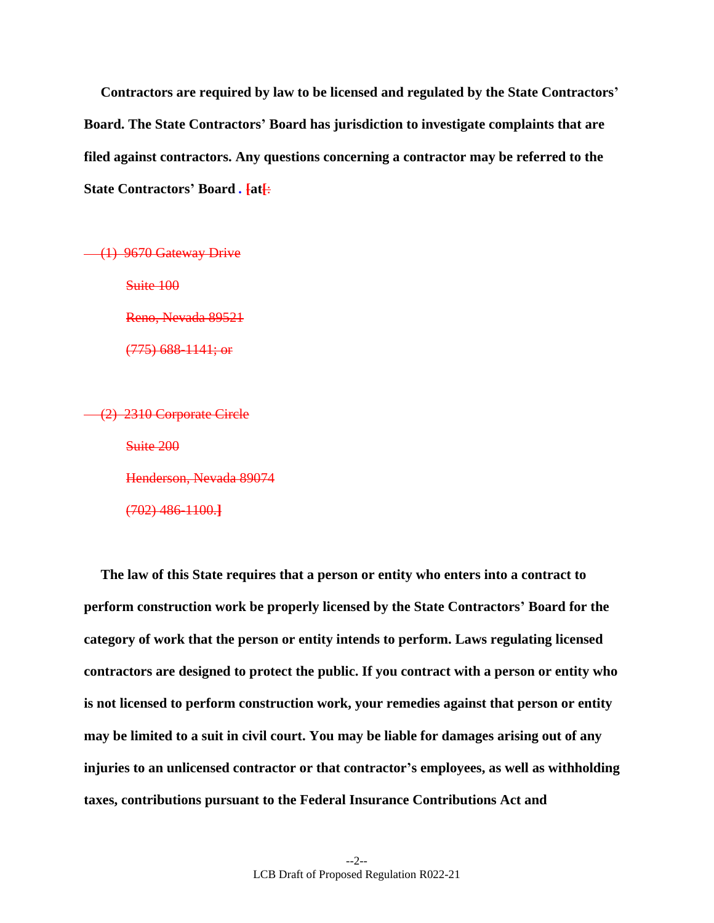**Contractors are required by law to be licensed and regulated by the State Contractors' Board. The State Contractors' Board has jurisdiction to investigate complaints that are filed against contractors. Any questions concerning a contractor may be referred to the State Contractors' Board** *.* **[at[**:

(1) 9670 Gateway Drive

Suite 100

Reno, Nevada 89521

(775) 688-1141; or

(2) 2310 Corporate Circle Suite 200 Henderson, Nevada 89074

(702) 486-1100.**]**

**The law of this State requires that a person or entity who enters into a contract to perform construction work be properly licensed by the State Contractors' Board for the category of work that the person or entity intends to perform. Laws regulating licensed contractors are designed to protect the public. If you contract with a person or entity who is not licensed to perform construction work, your remedies against that person or entity may be limited to a suit in civil court. You may be liable for damages arising out of any injuries to an unlicensed contractor or that contractor's employees, as well as withholding taxes, contributions pursuant to the Federal Insurance Contributions Act and**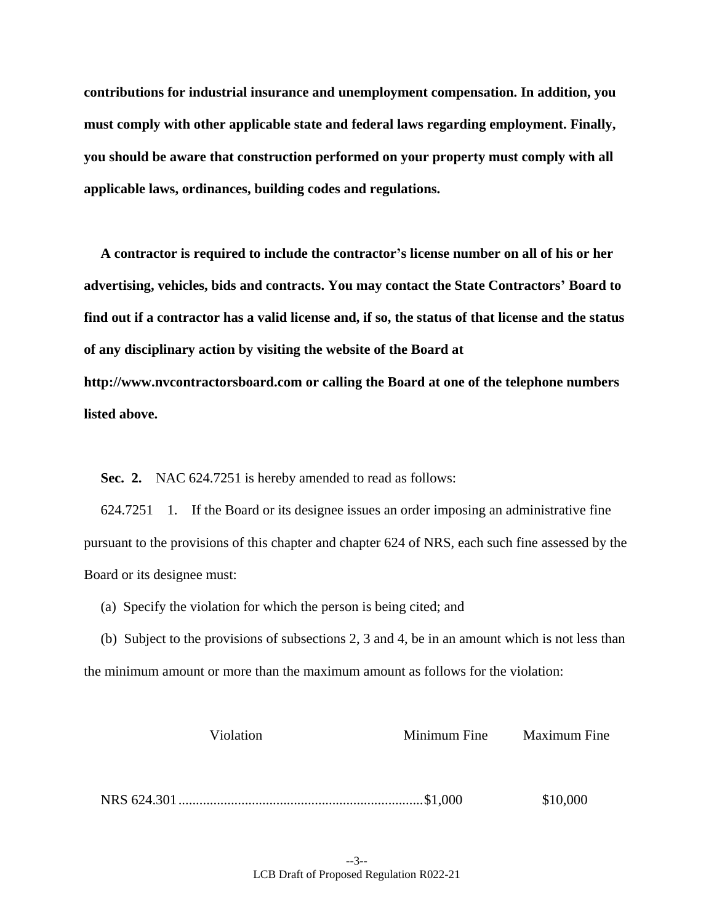**contributions for industrial insurance and unemployment compensation. In addition, you must comply with other applicable state and federal laws regarding employment. Finally, you should be aware that construction performed on your property must comply with all applicable laws, ordinances, building codes and regulations.**

**A contractor is required to include the contractor's license number on all of his or her advertising, vehicles, bids and contracts. You may contact the State Contractors' Board to find out if a contractor has a valid license and, if so, the status of that license and the status of any disciplinary action by visiting the website of the Board at http://www.nvcontractorsboard.com or calling the Board at one of the telephone numbers listed above.**

**Sec. 2.** NAC 624.7251 is hereby amended to read as follows:

624.7251 1. If the Board or its designee issues an order imposing an administrative fine pursuant to the provisions of this chapter and chapter 624 of NRS, each such fine assessed by the Board or its designee must:

(a) Specify the violation for which the person is being cited; and

(b) Subject to the provisions of subsections 2, 3 and 4, be in an amount which is not less than the minimum amount or more than the maximum amount as follows for the violation:

| Violation | Minimum Fine | <b>Maximum Fine</b> |
|-----------|--------------|---------------------|
|           |              |                     |
|           |              |                     |
|           |              | \$10,000            |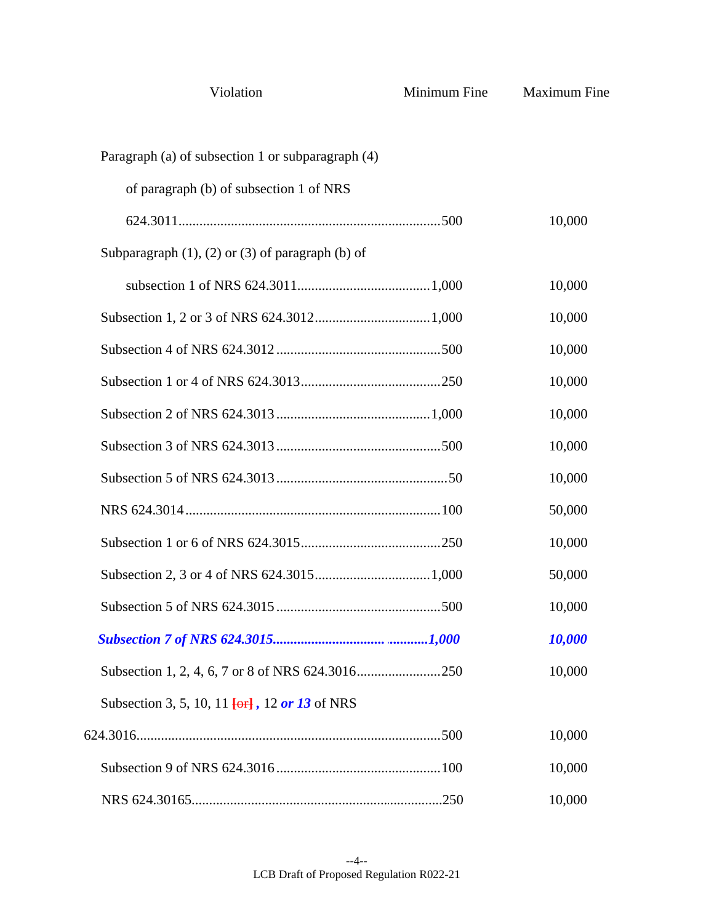| Violation                                                        | Minimum Fine | <b>Maximum Fine</b> |
|------------------------------------------------------------------|--------------|---------------------|
| Paragraph (a) of subsection 1 or subparagraph (4)                |              |                     |
| of paragraph (b) of subsection 1 of NRS                          |              |                     |
|                                                                  |              | 10,000              |
| Subparagraph $(1)$ , $(2)$ or $(3)$ of paragraph $(b)$ of        |              |                     |
|                                                                  |              | 10,000              |
|                                                                  |              | 10,000              |
|                                                                  |              | 10,000              |
|                                                                  |              | 10,000              |
|                                                                  |              | 10,000              |
|                                                                  |              | 10,000              |
|                                                                  |              | 10,000              |
|                                                                  |              | 50,000              |
|                                                                  |              | 10,000              |
|                                                                  |              | 50,000              |
|                                                                  |              | 10,000              |
|                                                                  |              | 10,000              |
|                                                                  |              | 10,000              |
| Subsection 3, 5, 10, 11 <del>[or]</del> , 12 <i>or</i> 13 of NRS |              |                     |
|                                                                  |              | 10,000              |
|                                                                  |              | 10,000              |
|                                                                  |              | 10,000              |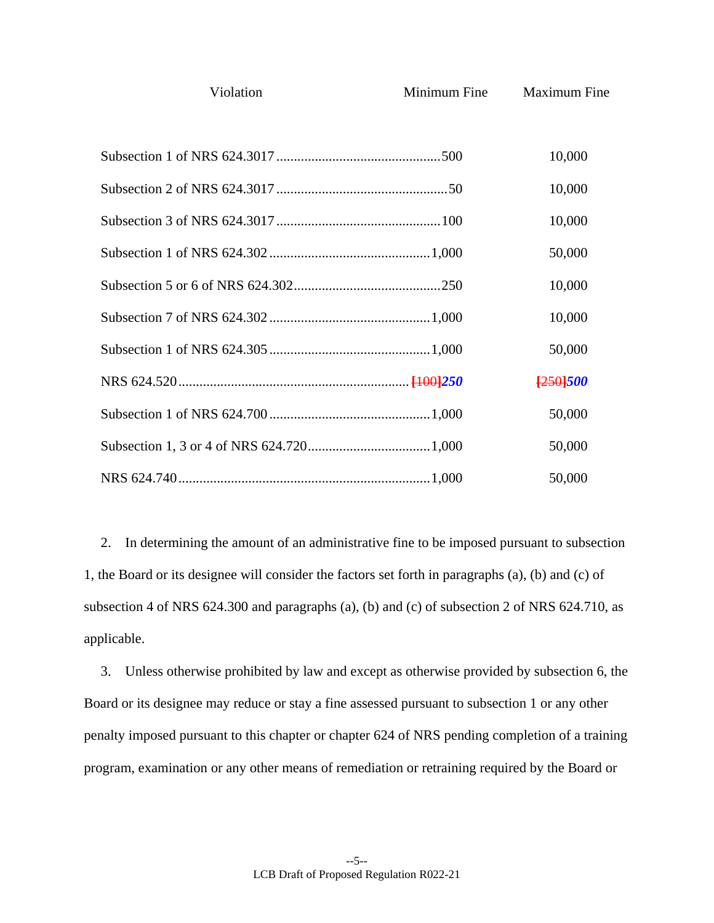Minimum Fine Maximum Fine

| 10,000   |
|----------|
| 10,000   |
| 10,000   |
| 50,000   |
| 10,000   |
| 10,000   |
| 50,000   |
| [250]500 |
| 50,000   |
| 50,000   |
| 50,000   |

2. In determining the amount of an administrative fine to be imposed pursuant to subsection 1, the Board or its designee will consider the factors set forth in paragraphs (a), (b) and (c) of subsection 4 of NRS 624.300 and paragraphs (a), (b) and (c) of subsection 2 of NRS 624.710, as applicable.

3. Unless otherwise prohibited by law and except as otherwise provided by subsection 6, the Board or its designee may reduce or stay a fine assessed pursuant to subsection 1 or any other penalty imposed pursuant to this chapter or chapter 624 of NRS pending completion of a training program, examination or any other means of remediation or retraining required by the Board or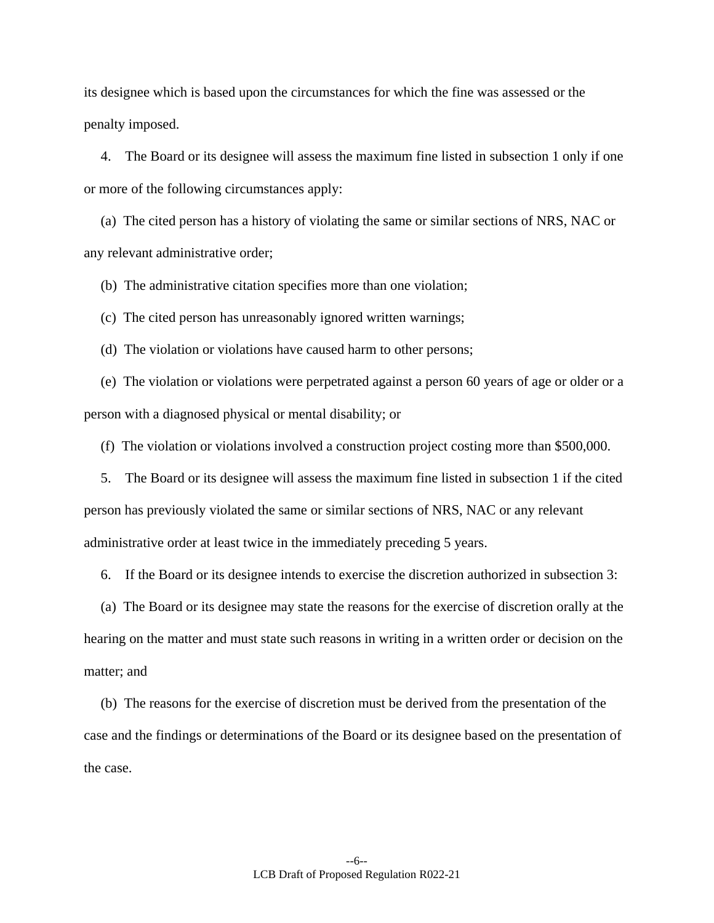its designee which is based upon the circumstances for which the fine was assessed or the penalty imposed.

4. The Board or its designee will assess the maximum fine listed in subsection 1 only if one or more of the following circumstances apply:

(a) The cited person has a history of violating the same or similar sections of NRS, NAC or any relevant administrative order;

(b) The administrative citation specifies more than one violation;

(c) The cited person has unreasonably ignored written warnings;

(d) The violation or violations have caused harm to other persons;

(e) The violation or violations were perpetrated against a person 60 years of age or older or a person with a diagnosed physical or mental disability; or

(f) The violation or violations involved a construction project costing more than \$500,000.

5. The Board or its designee will assess the maximum fine listed in subsection 1 if the cited person has previously violated the same or similar sections of NRS, NAC or any relevant administrative order at least twice in the immediately preceding 5 years.

6. If the Board or its designee intends to exercise the discretion authorized in subsection 3:

(a) The Board or its designee may state the reasons for the exercise of discretion orally at the hearing on the matter and must state such reasons in writing in a written order or decision on the matter; and

(b) The reasons for the exercise of discretion must be derived from the presentation of the case and the findings or determinations of the Board or its designee based on the presentation of the case.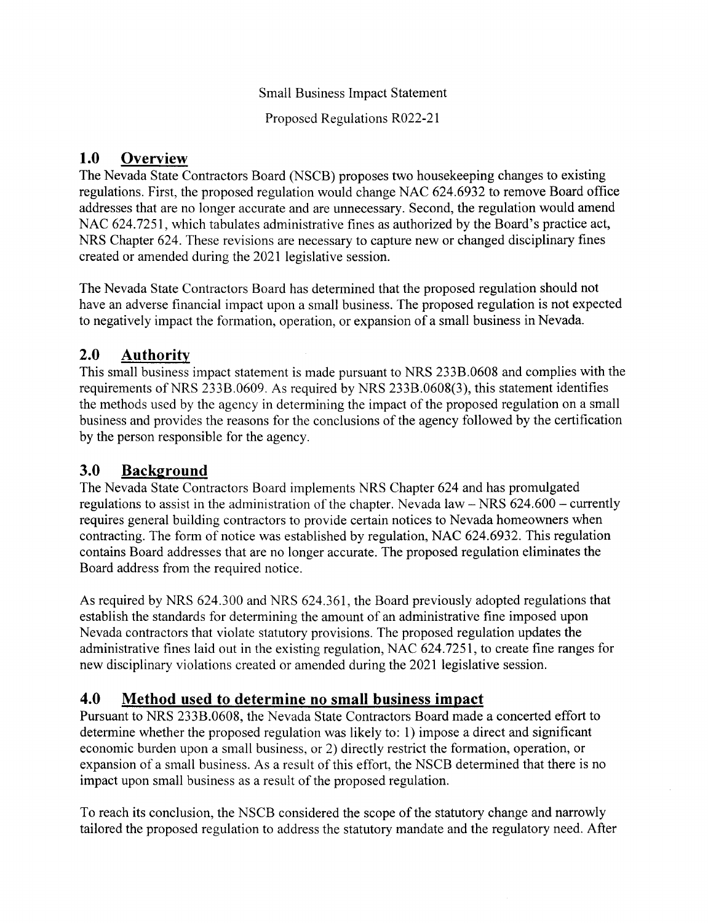Proposed Regulations R022-21

# 1.0 Overview

The Nevada State Contractors Board (NSCB) proposes two housekeeping changes to existing regulations. First, the proposed regulation would change NAC 624.6932 to remove Board office addresses that are no longer accurate and are unnecessary. Second, the regulation would amend NAC 624.7251, which tabulates administrative fines as authorized by the Board's practice act, NRS Chapter 624. These revisions are necessary to capture new or changed disciplinary fines created or amended during the 2021 legislative session.

The Nevada State Contractors Board has determined that the proposed regulation should not have an adverse financial impact upon a small business. The proposed regulation is not expected to negatively impact the formation, operation, or expansion of a small business in Nevada.

# 2.0 Authority

This small business impact statement is made pursuant to NRS 233B.0608 and complies with the requirements of NRS 2338.0609. As required by NRS 233B.0608(3), this statement identifies the methods used by the agency in determining the impact of the proposed regulation on a small business and provides the reasons for the conclusions of the agency followed by the certification by the person responsible for the agency.

# 3.0 Background

The Nevada State Contractors Board implements NRS Chapter 624 and has promulgated regulations to assist in the administration of the chapter. Nevada law - NRS 624.600 - currently requires general building contractors to provide certain notices to Nevada homeowners when contracting. The form of notice was established by regulation, NAC 624.6932. This regulation contains Board addresses that are no longer accurate. The proposed regulation eliminates the Board address from the required notice.

As required by NRS 624.300 and NRS 624.361, the Board previously adopted regulations that establish the standards for determining the amount of an administrative fine imposed upon Nevada contractors that violate statutory provisions. The proposed regulation updates the administrative fines laid out in the existing regulation, NAC 624.7251, to create fine ranges for new disciplinary violations created or amended during the 2021 legislative session.

# 4.0 Method used to determine no small business impact

Pursuant to NRS 2338.0608, the Nevada State Contractors Board made a concerted effort to determine whether the proposed regulation was likely to: 1) impose a direct and significant economic burden upon a small business, or 2) directly restrict the formation, operation, or expansion of a srnall business. As a result of this effort, the NSCB determined that there is no impact upon small business as a result of the proposed regulation.

To reach its conclusion, the NSCB considered the scope of the statutory change and narrowly tailored the proposed regulation to address the statutory mandate and the regulatory need. After